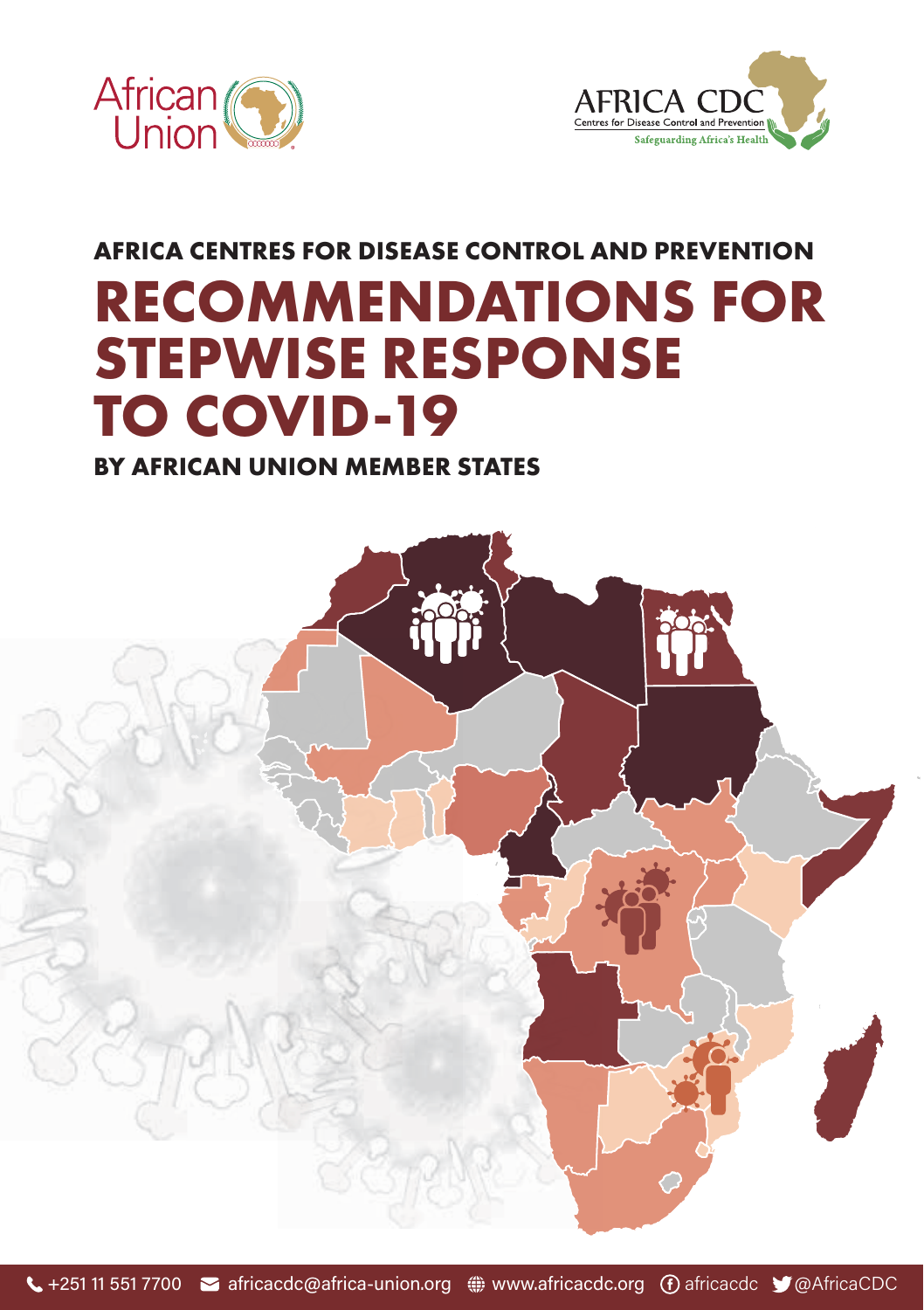



## **AFRICA CENTRES FOR DISEASE CONTROL AND PREVENTION RECOMMENDATIONS FOR STEPWISE RESPONSE TO COVID-19**

#### **BY AFRICAN UNION MEMBER STATES**

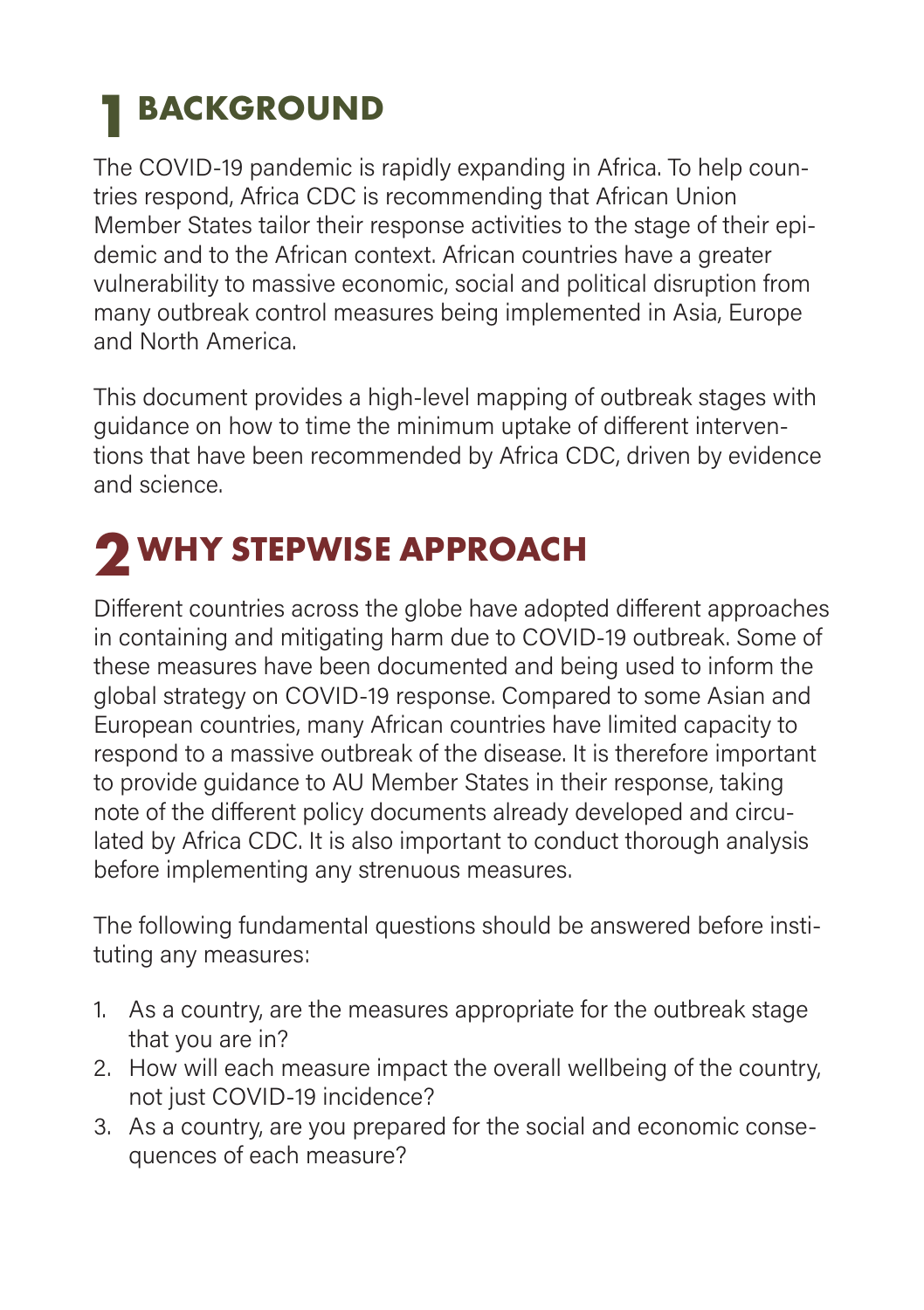### **BACKGROUND 1**

The COVID-19 pandemic is rapidly expanding in Africa. To help countries respond, Africa CDC is recommending that African Union Member States tailor their response activities to the stage of their epidemic and to the African context. African countries have a greater vulnerability to massive economic, social and political disruption from many outbreak control measures being implemented in Asia, Europe and North America.

This document provides a high-level mapping of outbreak stages with guidance on how to time the minimum uptake of different interventions that have been recommended by Africa CDC, driven by evidence and science.

# **WHY STEPWISE APPROACH 2**

Different countries across the globe have adopted different approaches in containing and mitigating harm due to COVID-19 outbreak. Some of these measures have been documented and being used to inform the global strategy on COVID-19 response. Compared to some Asian and European countries, many African countries have limited capacity to respond to a massive outbreak of the disease. It is therefore important to provide guidance to AU Member States in their response, taking note of the different policy documents already developed and circulated by Africa CDC. It is also important to conduct thorough analysis before implementing any strenuous measures.

The following fundamental questions should be answered before instituting any measures:

- 1. As a country, are the measures appropriate for the outbreak stage that you are in?
- 2. How will each measure impact the overall wellbeing of the country, not just COVID-19 incidence?
- 3. As a country, are you prepared for the social and economic consequences of each measure?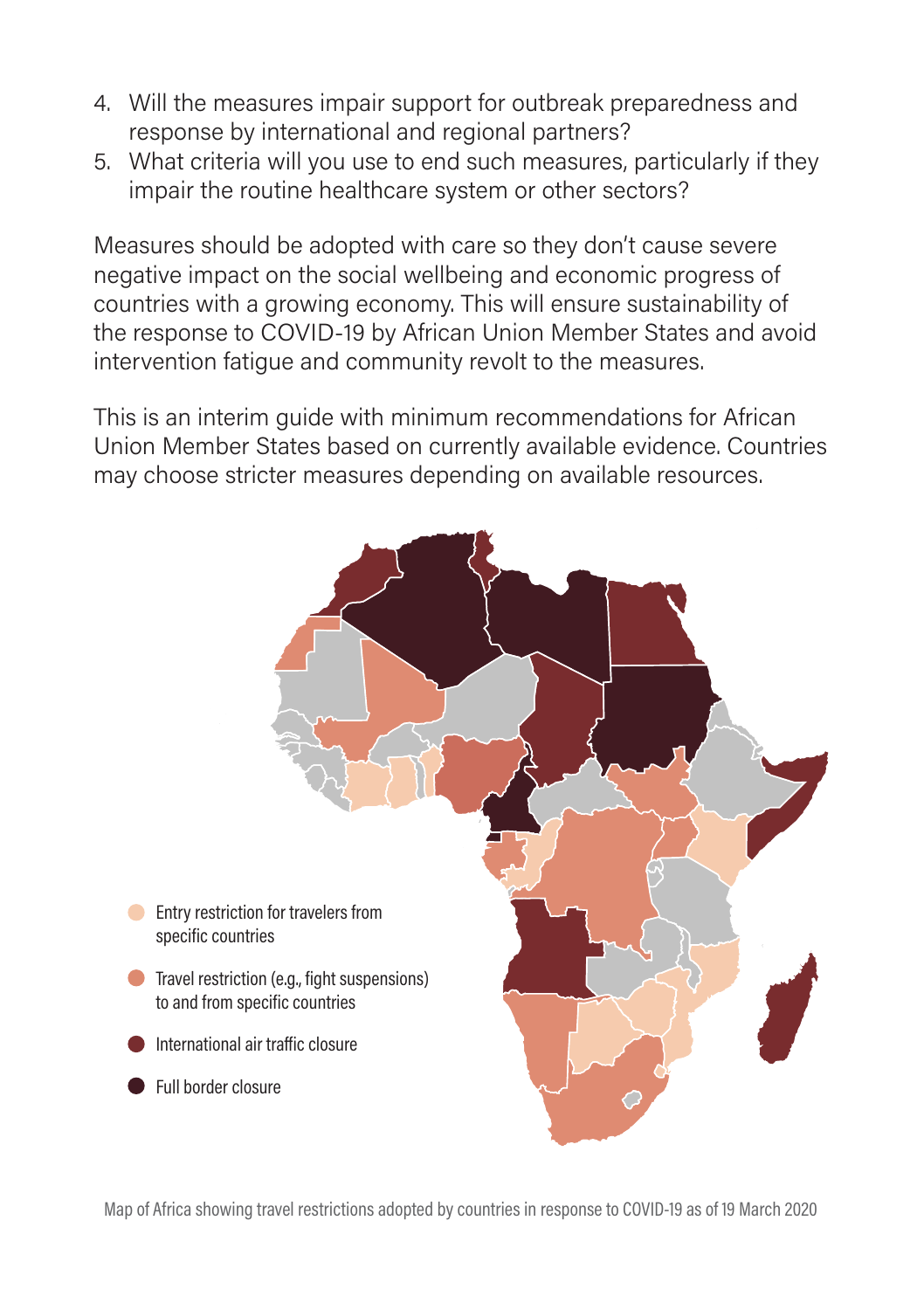- 4. Will the measures impair support for outbreak preparedness and response by international and regional partners?
- 5. What criteria will you use to end such measures, particularly if they impair the routine healthcare system or other sectors?

Measures should be adopted with care so they don't cause severe negative impact on the social wellbeing and economic progress of countries with a growing economy. This will ensure sustainability of the response to COVID-19 by African Union Member States and avoid intervention fatigue and community revolt to the measures.

This is an interim guide with minimum recommendations for African Union Member States based on currently available evidence. Countries may choose stricter measures depending on available resources.



Map of Africa showing travel restrictions adopted by countries in response to COVID-19 as of 19 March 2020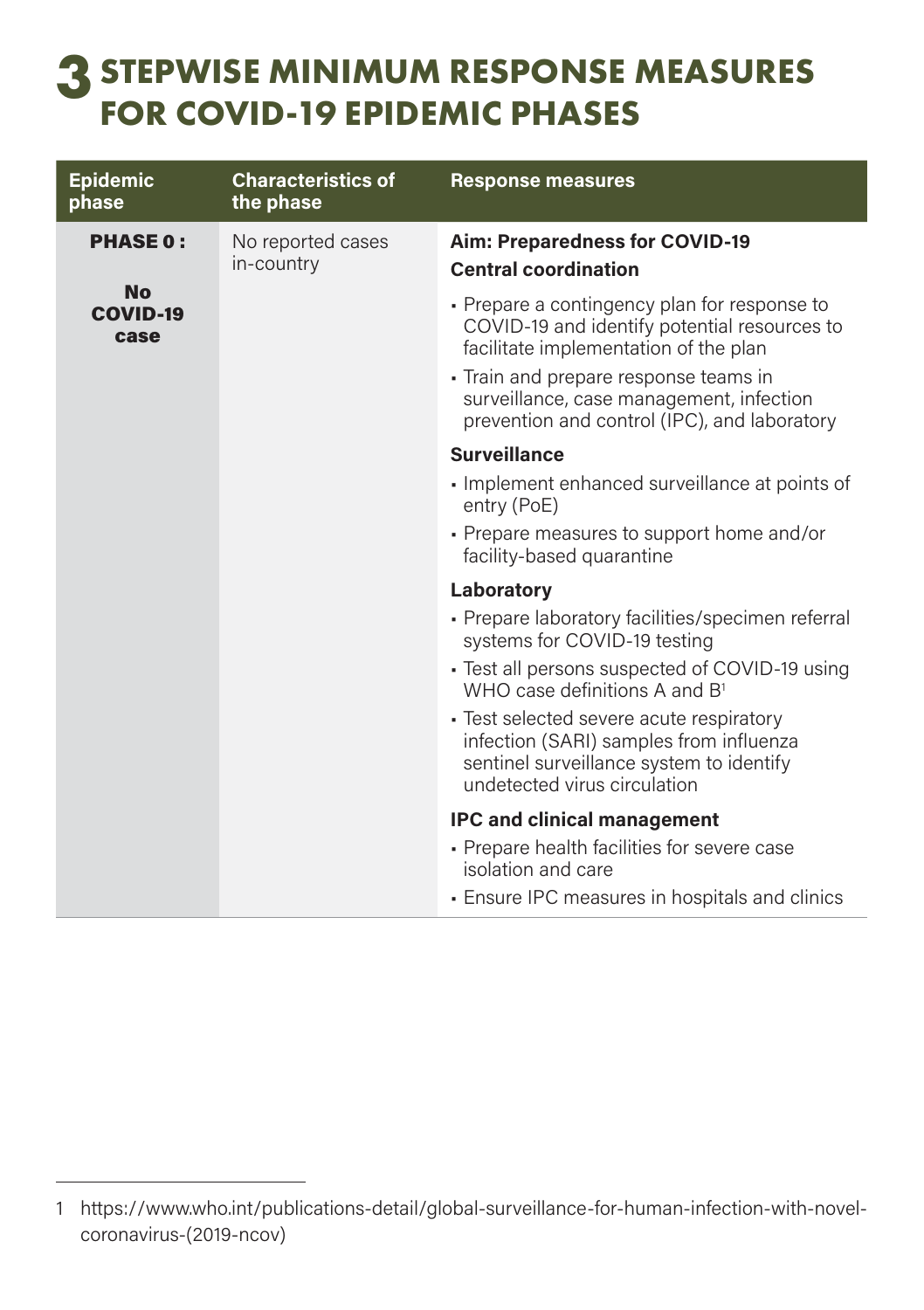### **STEPWISE MINIMUM RESPONSE MEASURES FOR COVID-19 EPIDEMIC PHASES**

| <b>Epidemic</b><br>phase             | <b>Characteristics of</b><br>the phase | <b>Response measures</b>                                                                                                                                                                                                                                                 |
|--------------------------------------|----------------------------------------|--------------------------------------------------------------------------------------------------------------------------------------------------------------------------------------------------------------------------------------------------------------------------|
| <b>PHASE 0:</b>                      | No reported cases<br>in-country        | Aim: Preparedness for COVID-19<br><b>Central coordination</b>                                                                                                                                                                                                            |
| <b>No</b><br><b>COVID-19</b><br>case |                                        | • Prepare a contingency plan for response to<br>COVID-19 and identify potential resources to<br>facilitate implementation of the plan<br>Train and prepare response teams in<br>surveillance, case management, infection<br>prevention and control (IPC), and laboratory |
|                                      |                                        | <b>Surveillance</b>                                                                                                                                                                                                                                                      |
|                                      |                                        | Implement enhanced surveillance at points of<br>entry (PoE)                                                                                                                                                                                                              |
|                                      |                                        | • Prepare measures to support home and/or<br>facility-based quarantine                                                                                                                                                                                                   |
|                                      |                                        | Laboratory                                                                                                                                                                                                                                                               |
|                                      |                                        | - Prepare laboratory facilities/specimen referral<br>systems for COVID-19 testing                                                                                                                                                                                        |
|                                      |                                        | - Test all persons suspected of COVID-19 using<br>WHO case definitions A and $B1$                                                                                                                                                                                        |
|                                      |                                        | • Test selected severe acute respiratory<br>infection (SARI) samples from influenza<br>sentinel surveillance system to identify<br>undetected virus circulation                                                                                                          |
|                                      |                                        | <b>IPC and clinical management</b>                                                                                                                                                                                                                                       |
|                                      |                                        | • Prepare health facilities for severe case<br>isolation and care                                                                                                                                                                                                        |
|                                      |                                        | • Ensure IPC measures in hospitals and clinics                                                                                                                                                                                                                           |

<sup>1</sup> https://www.who.int/publications-detail/global-surveillance-for-human-infection-with-novelcoronavirus-(2019-ncov)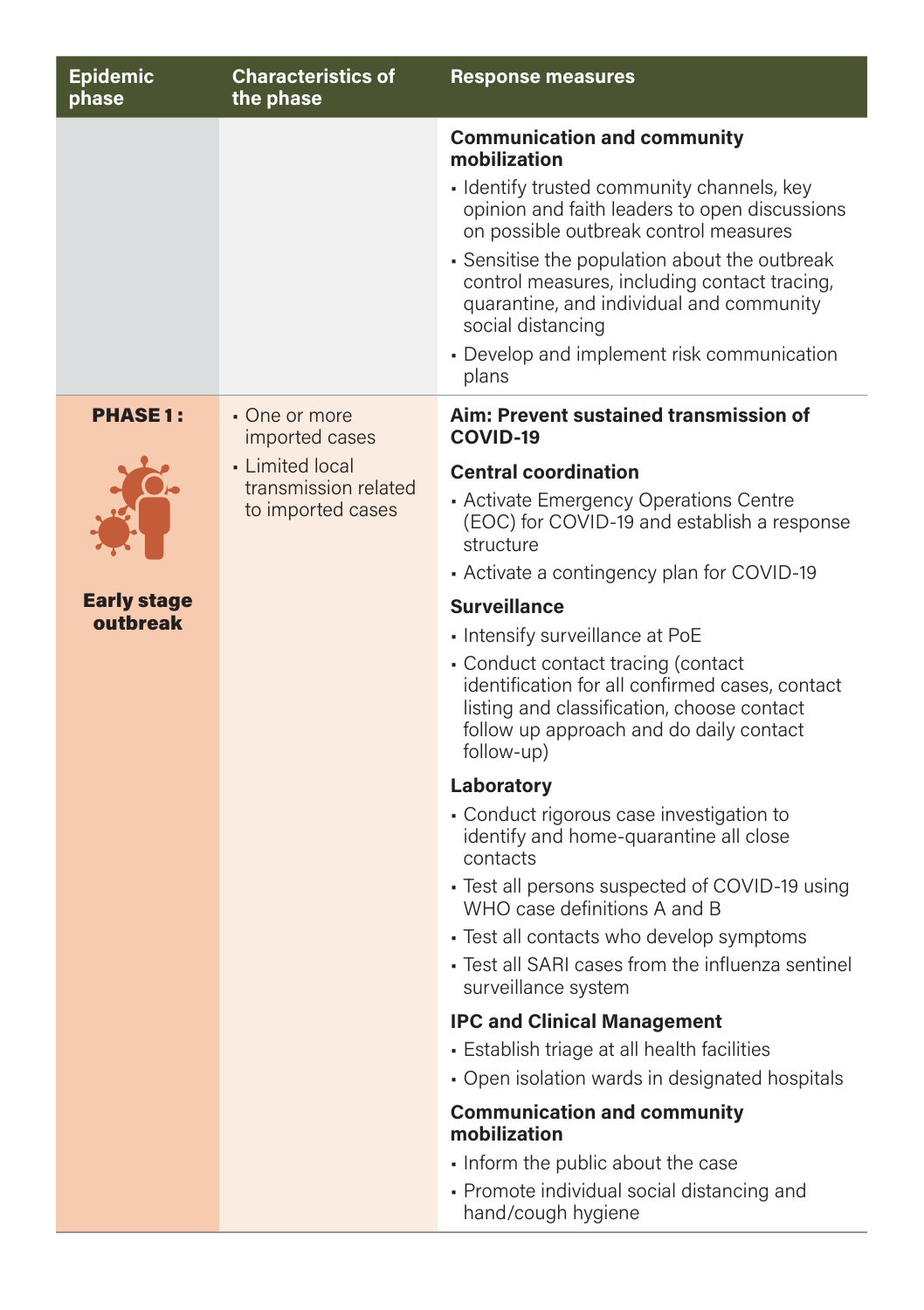| <b>Epidemic</b><br>phase | <b>Characteristics of</b><br>the phase    | <b>Response measures</b>                                                                                                                                                                     |
|--------------------------|-------------------------------------------|----------------------------------------------------------------------------------------------------------------------------------------------------------------------------------------------|
|                          |                                           | <b>Communication and community</b><br>mobilization                                                                                                                                           |
|                          |                                           | • Identify trusted community channels, key<br>opinion and faith leaders to open discussions<br>on possible outbreak control measures                                                         |
|                          |                                           | • Sensitise the population about the outbreak<br>control measures, including contact tracing,<br>quarantine, and individual and community<br>social distancing                               |
|                          |                                           | • Develop and implement risk communication<br>plans                                                                                                                                          |
| <b>PHASE1:</b>           | • One or more<br>imported cases           | Aim: Prevent sustained transmission of<br>COVID-19                                                                                                                                           |
|                          | • Limited local                           | <b>Central coordination</b>                                                                                                                                                                  |
|                          | transmission related<br>to imported cases | • Activate Emergency Operations Centre<br>(EOC) for COVID-19 and establish a response<br>structure                                                                                           |
|                          |                                           | Activate a contingency plan for COVID-19                                                                                                                                                     |
| <b>Early stage</b>       |                                           | <b>Surveillance</b>                                                                                                                                                                          |
| outbreak                 |                                           | - Intensify surveillance at PoE                                                                                                                                                              |
|                          |                                           | • Conduct contact tracing (contact<br>identification for all confirmed cases, contact<br>listing and classification, choose contact<br>follow up approach and do daily contact<br>follow-up) |
|                          |                                           | Laboratory                                                                                                                                                                                   |
|                          |                                           | • Conduct rigorous case investigation to<br>identify and home-quarantine all close<br>contacts                                                                                               |
|                          |                                           | • Test all persons suspected of COVID-19 using<br>WHO case definitions A and B                                                                                                               |
|                          |                                           | • Test all contacts who develop symptoms                                                                                                                                                     |
|                          |                                           | · Test all SARI cases from the influenza sentinel<br>surveillance system                                                                                                                     |
|                          |                                           | <b>IPC and Clinical Management</b>                                                                                                                                                           |
|                          |                                           | · Establish triage at all health facilities                                                                                                                                                  |
|                          |                                           | • Open isolation wards in designated hospitals                                                                                                                                               |
|                          |                                           | <b>Communication and community</b><br>mobilization                                                                                                                                           |
|                          |                                           | • Inform the public about the case                                                                                                                                                           |
|                          |                                           | • Promote individual social distancing and<br>hand/cough hygiene                                                                                                                             |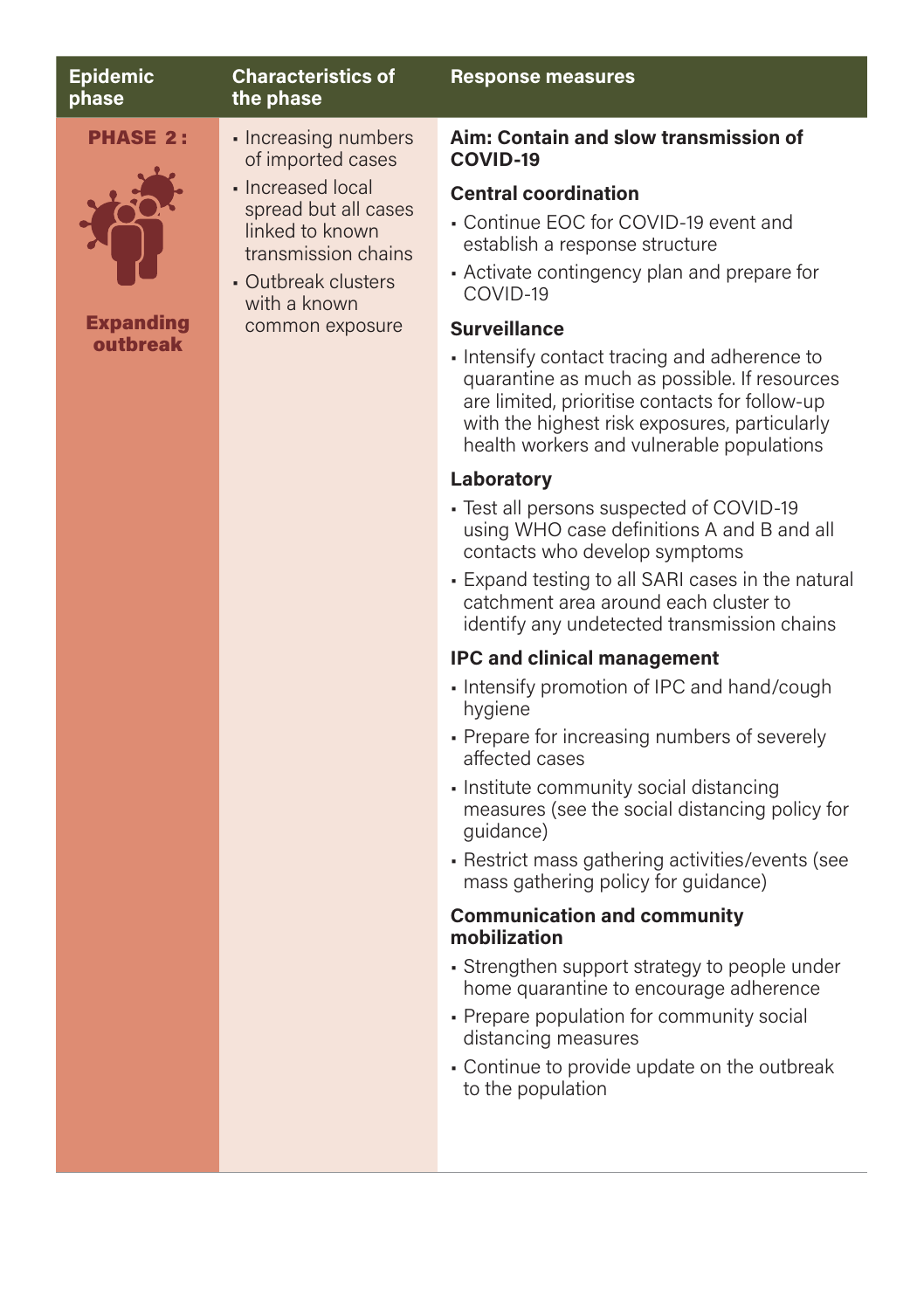| <b>Epidemic</b><br>phase | <b>Characteristics of</b><br>the phase                                                                                                        | <b>Response measures</b>                                                                                                                                                                                                                     |
|--------------------------|-----------------------------------------------------------------------------------------------------------------------------------------------|----------------------------------------------------------------------------------------------------------------------------------------------------------------------------------------------------------------------------------------------|
| <b>PHASE 2:</b>          | • Increasing numbers<br>of imported cases                                                                                                     | Aim: Contain and slow transmission of<br>COVID-19                                                                                                                                                                                            |
| <b>Expanding</b>         | • Increased local<br>spread but all cases<br>linked to known<br>transmission chains<br>• Outbreak clusters<br>with a known<br>common exposure | <b>Central coordination</b><br>• Continue EOC for COVID-19 event and<br>establish a response structure<br>• Activate contingency plan and prepare for<br>COVID-19<br><b>Surveillance</b>                                                     |
| outbreak                 |                                                                                                                                               | • Intensify contact tracing and adherence to<br>quarantine as much as possible. If resources<br>are limited, prioritise contacts for follow-up<br>with the highest risk exposures, particularly<br>health workers and vulnerable populations |

#### **Laboratory**

- Test all persons suspected of COVID-19 using WHO case definitions A and B and all contacts who develop symptoms
- Expand testing to all SARI cases in the natural catchment area around each cluster to identify any undetected transmission chains

#### **IPC and clinical management**

- Intensify promotion of IPC and hand/cough hygiene
- Prepare for increasing numbers of severely affected cases
- Institute community social distancing measures (see the social distancing policy for guidance)
- Restrict mass gathering activities/events (see mass gathering policy for guidance)

#### **Communication and community mobilization**

- Strengthen support strategy to people under home quarantine to encourage adherence
- Prepare population for community social distancing measures
- Continue to provide update on the outbreak to the population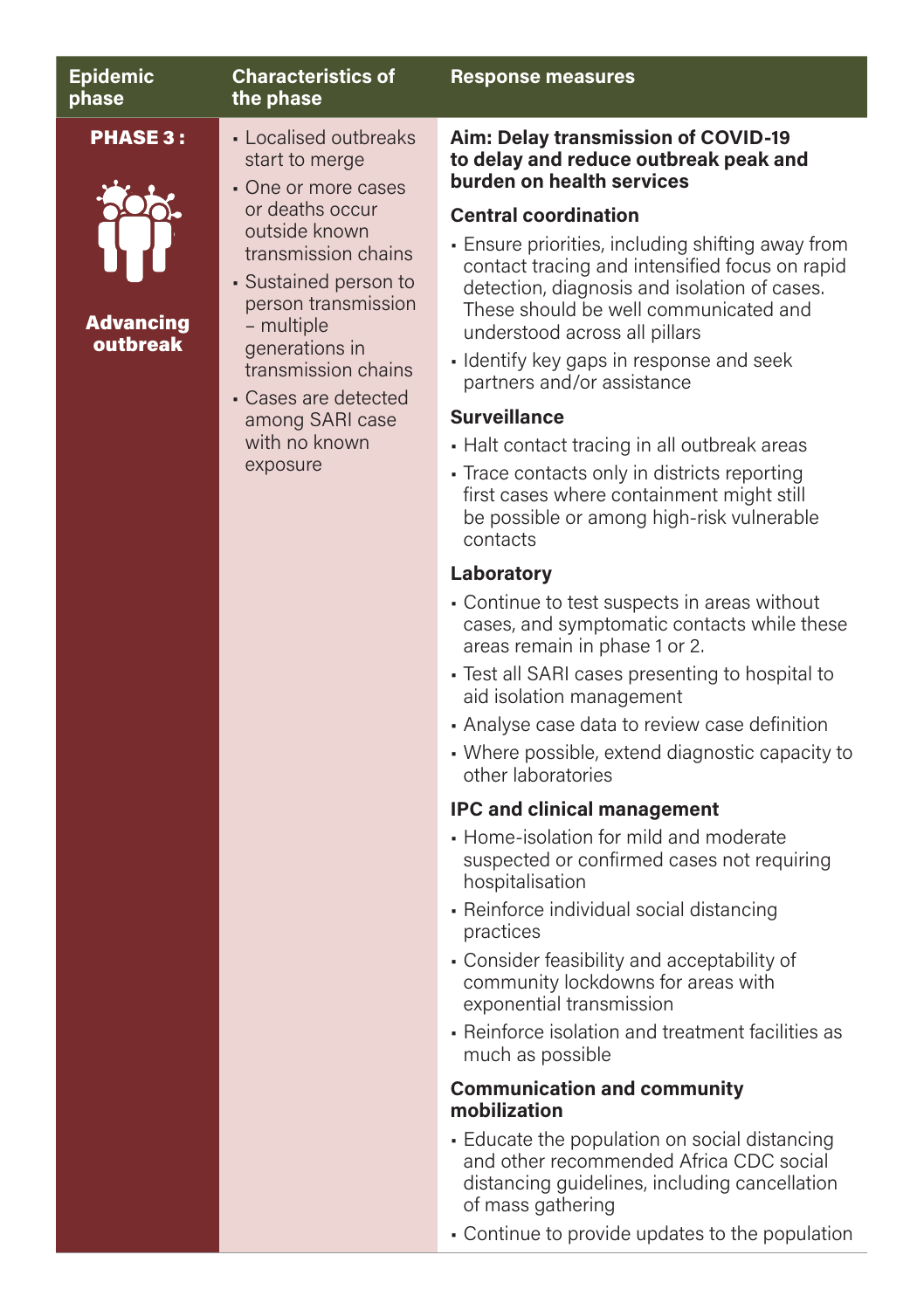| <b>Epidemic</b><br>phase                        | <b>Characteristics of</b><br>the phase                                                                                                                                                                                                                                                                   | <b>Response measures</b>                                                                                                                                                                                                                                                                                                                                                                                                                                                                                                                                                                                                                                                         |
|-------------------------------------------------|----------------------------------------------------------------------------------------------------------------------------------------------------------------------------------------------------------------------------------------------------------------------------------------------------------|----------------------------------------------------------------------------------------------------------------------------------------------------------------------------------------------------------------------------------------------------------------------------------------------------------------------------------------------------------------------------------------------------------------------------------------------------------------------------------------------------------------------------------------------------------------------------------------------------------------------------------------------------------------------------------|
| <b>PHASE 3:</b><br><b>Advancing</b><br>outbreak | • Localised outbreaks<br>start to merge<br>• One or more cases<br>or deaths occur<br>outside known<br>transmission chains<br>• Sustained person to<br>person transmission<br>- multiple<br>generations in<br>transmission chains<br>• Cases are detected<br>among SARI case<br>with no known<br>exposure | Aim: Delay transmission of COVID-19<br>to delay and reduce outbreak peak and<br>burden on health services<br><b>Central coordination</b><br>• Ensure priorities, including shifting away from<br>contact tracing and intensified focus on rapid<br>detection, diagnosis and isolation of cases.<br>These should be well communicated and<br>understood across all pillars<br>· Identify key gaps in response and seek<br>partners and/or assistance<br><b>Surveillance</b><br>• Halt contact tracing in all outbreak areas<br>• Trace contacts only in districts reporting<br>first cases where containment might still<br>be possible or among high-risk vulnerable<br>contacts |

#### **Laboratory**

- Continue to test suspects in areas without cases, and symptomatic contacts while these areas remain in phase 1 or 2.
- Test all SARI cases presenting to hospital to aid isolation management
- Analyse case data to review case definition
- Where possible, extend diagnostic capacity to other laboratories

#### **IPC and clinical management**

- Home-isolation for mild and moderate suspected or confirmed cases not requiring hospitalisation
- Reinforce individual social distancing practices
- Consider feasibility and acceptability of community lockdowns for areas with exponential transmission
- Reinforce isolation and treatment facilities as much as possible

#### **Communication and community mobilization**

- Educate the population on social distancing and other recommended Africa CDC social distancing guidelines, including cancellation of mass gathering
- Continue to provide updates to the population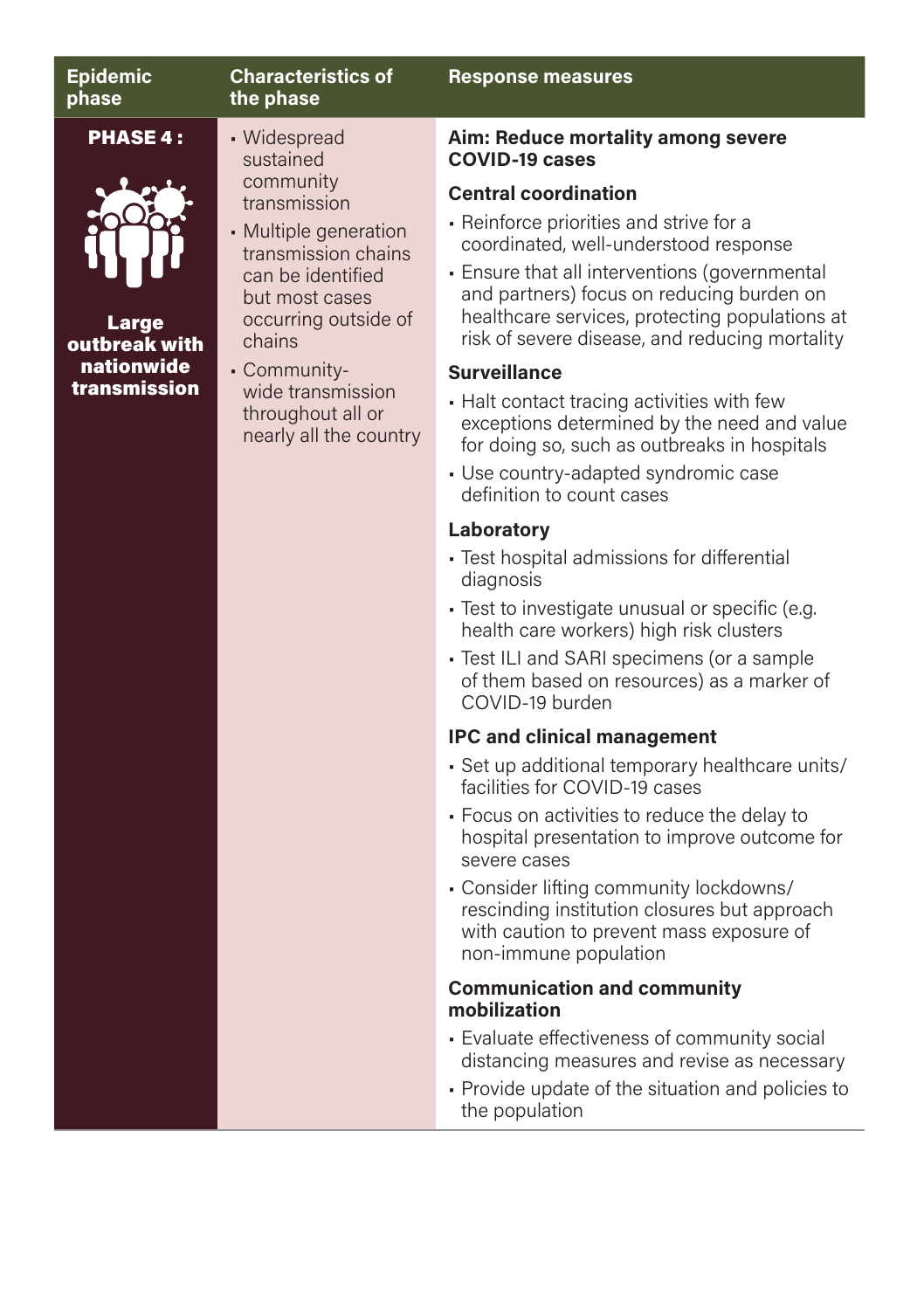| <b>Epidemic</b><br>phase                         | <b>Characteristics of</b><br>the phase                                                                                                                                          | <b>Response measures</b>                                                                                                                                                                                                                                                                                          |
|--------------------------------------------------|---------------------------------------------------------------------------------------------------------------------------------------------------------------------------------|-------------------------------------------------------------------------------------------------------------------------------------------------------------------------------------------------------------------------------------------------------------------------------------------------------------------|
| <b>PHASE 4:</b><br><b>Large</b><br>outbreak with | • Widespread<br>sustained<br>community<br>transmission<br>• Multiple generation<br>transmission chains<br>can be identified<br>but most cases<br>occurring outside of<br>chains | Aim: Reduce mortality among severe<br><b>COVID-19 cases</b>                                                                                                                                                                                                                                                       |
|                                                  |                                                                                                                                                                                 | <b>Central coordination</b><br>• Reinforce priorities and strive for a<br>coordinated, well-understood response<br>• Ensure that all interventions (governmental<br>and partners) focus on reducing burden on<br>healthcare services, protecting populations at<br>risk of severe disease, and reducing mortality |
| nationwide                                       | - Community-                                                                                                                                                                    | <b>Surveillance</b>                                                                                                                                                                                                                                                                                               |
| transmission                                     | wide transmission<br>throughout all or<br>nearly all the country                                                                                                                | • Halt contact tracing activities with few<br>exceptions determined by the need and value<br>for doing so, such as outbreaks in hospitals                                                                                                                                                                         |
|                                                  |                                                                                                                                                                                 | • Use country-adapted syndromic case<br>definition to count cases                                                                                                                                                                                                                                                 |
|                                                  |                                                                                                                                                                                 | Laboratory                                                                                                                                                                                                                                                                                                        |
|                                                  |                                                                                                                                                                                 | - Test hospital admissions for differential<br>diagnosis                                                                                                                                                                                                                                                          |
|                                                  |                                                                                                                                                                                 | • Test to investigate unusual or specific (e.g.<br>health care workers) high risk clusters                                                                                                                                                                                                                        |
|                                                  |                                                                                                                                                                                 | • Test ILI and SARI specimens (or a sample<br>of them based on resources) as a marker of<br>COVID-19 burden                                                                                                                                                                                                       |
|                                                  |                                                                                                                                                                                 | <b>IPC and clinical management</b>                                                                                                                                                                                                                                                                                |
|                                                  |                                                                                                                                                                                 | - Set up additional temporary healthcare units/<br>facilities for COVID-19 cases                                                                                                                                                                                                                                  |
|                                                  |                                                                                                                                                                                 | • Focus on activities to reduce the delay to<br>hospital presentation to improve outcome for<br>severe cases                                                                                                                                                                                                      |
|                                                  |                                                                                                                                                                                 | - Consider lifting community lockdowns/<br>rescinding institution closures but approach<br>with caution to prevent mass exposure of<br>non-immune population                                                                                                                                                      |
|                                                  |                                                                                                                                                                                 | the contract of the contract of the                                                                                                                                                                                                                                                                               |

#### **Communication and community mobilization**

- Evaluate effectiveness of community social distancing measures and revise as necessary
- Provide update of the situation and policies to the population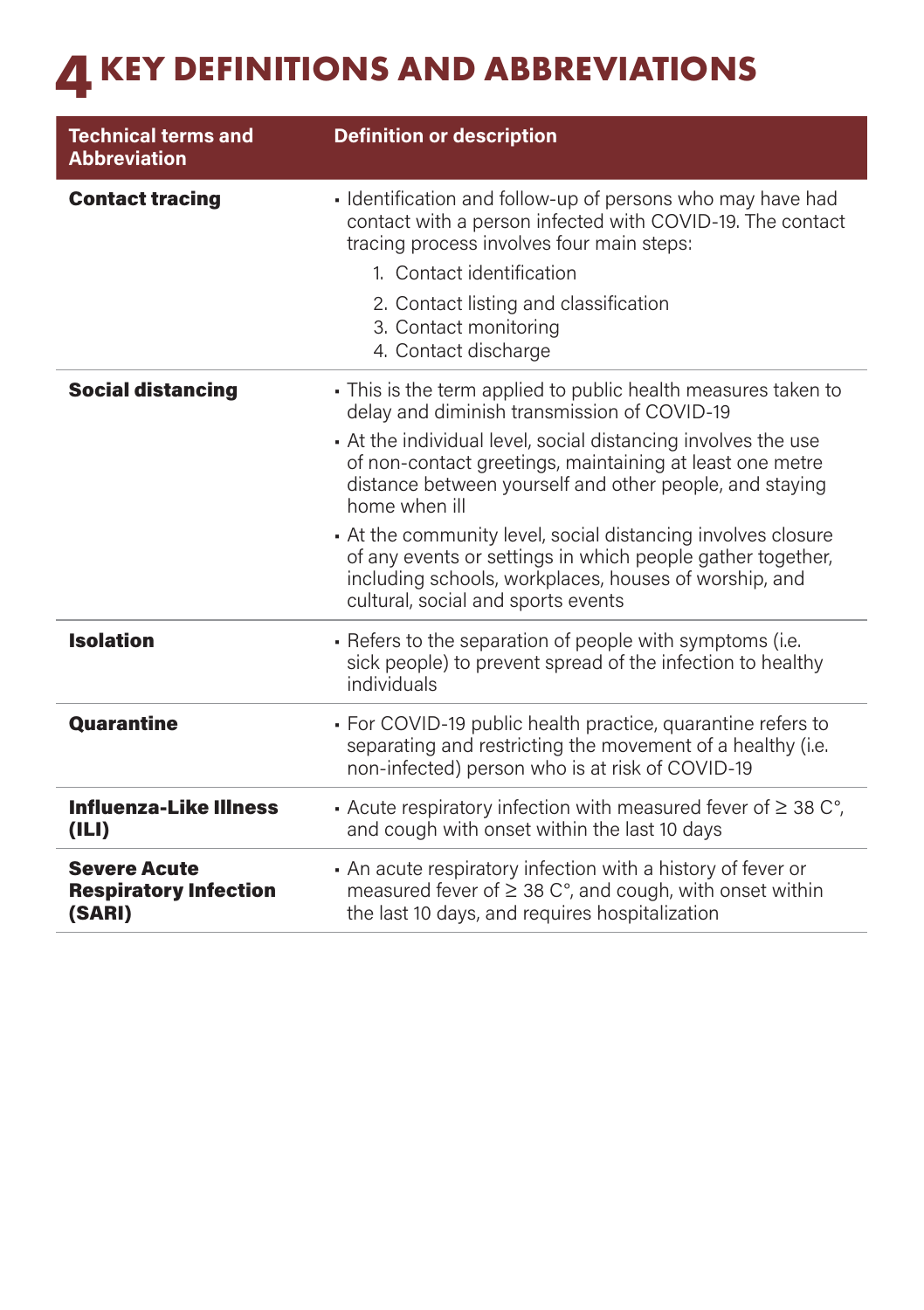## **4 KEY DEFINITIONS AND ABBREVIATIONS**

| <b>Technical terms and</b><br><b>Abbreviation</b>             | <b>Definition or description</b>                                                                                                                                                                                                                                                                                    |
|---------------------------------------------------------------|---------------------------------------------------------------------------------------------------------------------------------------------------------------------------------------------------------------------------------------------------------------------------------------------------------------------|
| <b>Contact tracing</b>                                        | • Identification and follow-up of persons who may have had<br>contact with a person infected with COVID-19. The contact<br>tracing process involves four main steps:                                                                                                                                                |
|                                                               | 1. Contact identification                                                                                                                                                                                                                                                                                           |
|                                                               | 2. Contact listing and classification<br>3. Contact monitoring<br>4. Contact discharge                                                                                                                                                                                                                              |
| <b>Social distancing</b>                                      | • This is the term applied to public health measures taken to<br>delay and diminish transmission of COVID-19<br>At the individual level, social distancing involves the use<br>of non-contact greetings, maintaining at least one metre<br>distance between yourself and other people, and staying<br>home when ill |
|                                                               | • At the community level, social distancing involves closure<br>of any events or settings in which people gather together,<br>including schools, workplaces, houses of worship, and<br>cultural, social and sports events                                                                                           |
| <b>Isolation</b>                                              | • Refers to the separation of people with symptoms (i.e.<br>sick people) to prevent spread of the infection to healthy<br>individuals                                                                                                                                                                               |
| <b>Quarantine</b>                                             | • For COVID-19 public health practice, quarantine refers to<br>separating and restricting the movement of a healthy (i.e.<br>non-infected) person who is at risk of COVID-19                                                                                                                                        |
| <b>Influenza-Like Illness</b><br>(III)                        | Acute respiratory infection with measured fever of $\geq$ 38 C°,<br>and cough with onset within the last 10 days                                                                                                                                                                                                    |
| <b>Severe Acute</b><br><b>Respiratory Infection</b><br>(SARI) | • An acute respiratory infection with a history of fever or<br>measured fever of $\geq$ 38 C°, and cough, with onset within<br>the last 10 days, and requires hospitalization                                                                                                                                       |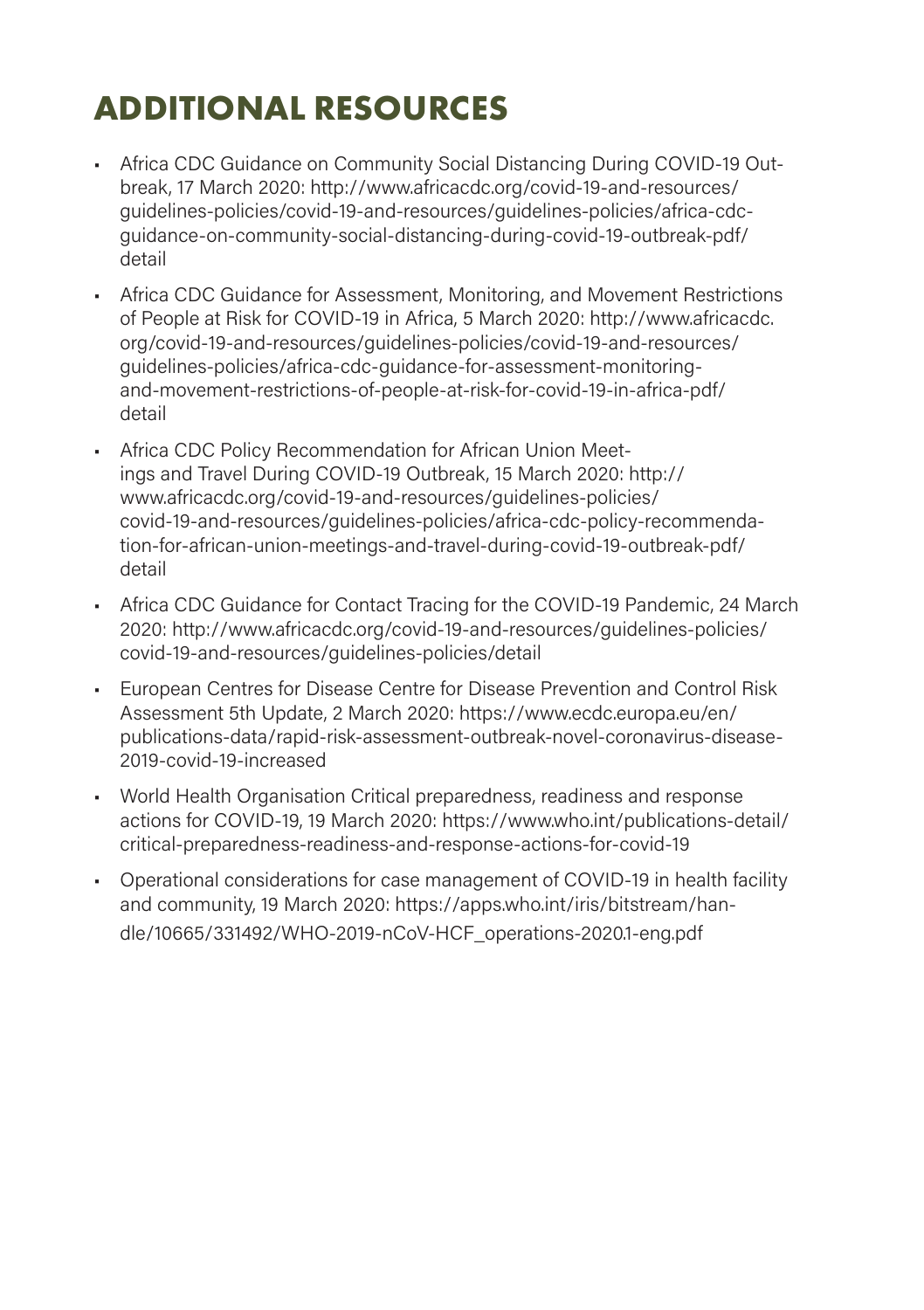## **ADDITIONAL RESOURCES**

- Africa CDC Guidance on Community Social Distancing During COVID-19 Outbreak, 17 March 2020: http://www.africacdc.org/covid-19-and-resources/ guidelines-policies/covid-19-and-resources/guidelines-policies/africa-cdcguidance-on-community-social-distancing-during-covid-19-outbreak-pdf/ detail
- Africa CDC Guidance for Assessment, Monitoring, and Movement Restrictions of People at Risk for COVID-19 in Africa, 5 March 2020: http://www.africacdc. org/covid-19-and-resources/guidelines-policies/covid-19-and-resources/ guidelines-policies/africa-cdc-guidance-for-assessment-monitoringand-movement-restrictions-of-people-at-risk-for-covid-19-in-africa-pdf/ detail
- Africa CDC Policy Recommendation for African Union Meetings and Travel During COVID-19 Outbreak, 15 March 2020: http:// www.africacdc.org/covid-19-and-resources/guidelines-policies/ covid-19-and-resources/guidelines-policies/africa-cdc-policy-recommendation-for-african-union-meetings-and-travel-during-covid-19-outbreak-pdf/ detail
- Africa CDC Guidance for Contact Tracing for the COVID-19 Pandemic, 24 March 2020: http://www.africacdc.org/covid-19-and-resources/guidelines-policies/ covid-19-and-resources/guidelines-policies/detail
- European Centres for Disease Centre for Disease Prevention and Control Risk Assessment 5th Update, 2 March 2020: https://www.ecdc.europa.eu/en/ publications-data/rapid-risk-assessment-outbreak-novel-coronavirus-disease-2019-covid-19-increased
- World Health Organisation Critical preparedness, readiness and response actions for COVID-19, 19 March 2020: https://www.who.int/publications-detail/ critical-preparedness-readiness-and-response-actions-for-covid-19
- Operational considerations for case management of COVID-19 in health facility and community, 19 March 2020: [https://apps.who.int/iris/bitstream/han](https://apps.who.int/iris/bitstream/handle/10665/331492/WHO-2019-nCoV-HCF_operations-2020.1-eng.pdf)[dle/10665/331492/WHO-2019-nCoV-HCF\\_operations-2020.1-eng.pdf](https://apps.who.int/iris/bitstream/handle/10665/331492/WHO-2019-nCoV-HCF_operations-2020.1-eng.pdf)